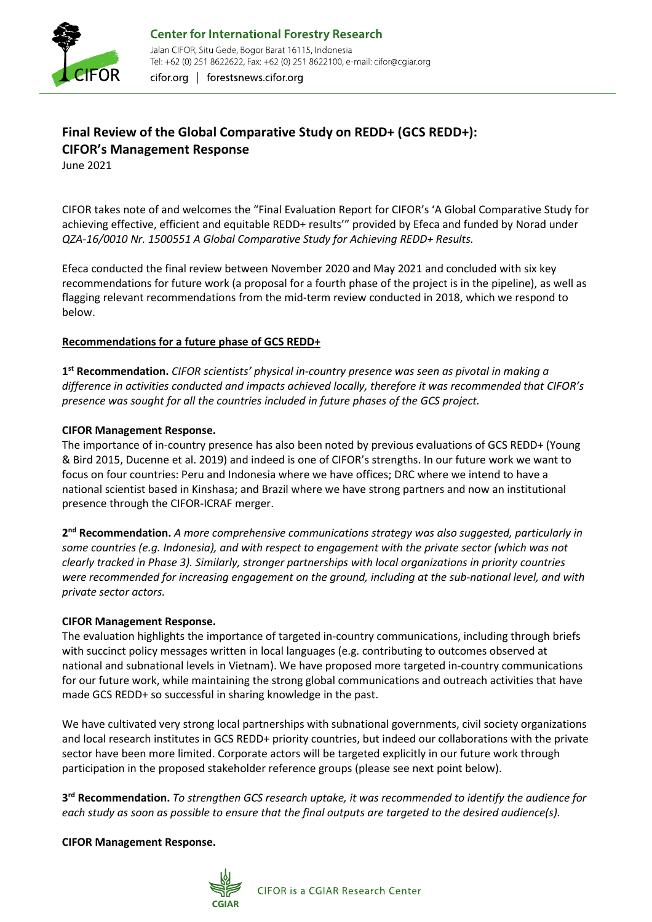

cifor.org | forestsnews.cifor.org

# **Final Review of the Global Comparative Study on REDD+ (GCS REDD+): CIFOR's Management Response**

June 2021

CIFOR takes note of and welcomes the "Final Evaluation Report for CIFOR's 'A Global Comparative Study for achieving effective, efficient and equitable REDD+ results'" provided by Efeca and funded by Norad under *QZA-16/0010 Nr. 1500551 A Global Comparative Study for Achieving REDD+ Results.*

Efeca conducted the final review between November 2020 and May 2021 and concluded with six key recommendations for future work (a proposal for a fourth phase of the project is in the pipeline), as well as flagging relevant recommendations from the mid-term review conducted in 2018, which we respond to below.

### **Recommendations for a future phase of GCS REDD+**

**1st Recommendation.** *CIFOR scientists' physical in-country presence was seen as pivotal in making a difference in activities conducted and impacts achieved locally, therefore it was recommended that CIFOR's presence was sought for all the countries included in future phases of the GCS project.*

#### **CIFOR Management Response.**

The importance of in-country presence has also been noted by previous evaluations of GCS REDD+ (Young & Bird 2015, Ducenne et al. 2019) and indeed is one of CIFOR's strengths. In our future work we want to focus on four countries: Peru and Indonesia where we have offices; DRC where we intend to have a national scientist based in Kinshasa; and Brazil where we have strong partners and now an institutional presence through the CIFOR-ICRAF merger.

**2nd Recommendation.** *A more comprehensive communications strategy was also suggested, particularly in some countries (e.g. Indonesia), and with respect to engagement with the private sector (which was not clearly tracked in Phase 3). Similarly, stronger partnerships with local organizations in priority countries were recommended for increasing engagement on the ground, including at the sub-national level, and with private sector actors.*

#### **CIFOR Management Response.**

The evaluation highlights the importance of targeted in-country communications, including through briefs with succinct policy messages written in local languages (e.g. contributing to outcomes observed at national and subnational levels in Vietnam). We have proposed more targeted in-country communications for our future work, while maintaining the strong global communications and outreach activities that have made GCS REDD+ so successful in sharing knowledge in the past.

We have cultivated very strong local partnerships with subnational governments, civil society organizations and local research institutes in GCS REDD+ priority countries, but indeed our collaborations with the private sector have been more limited. Corporate actors will be targeted explicitly in our future work through participation in the proposed stakeholder reference groups (please see next point below).

**3rd Recommendation.** *To strengthen GCS research uptake, it was recommended to identify the audience for each study as soon as possible to ensure that the final outputs are targeted to the desired audience(s).*

**CIFOR Management Response.**

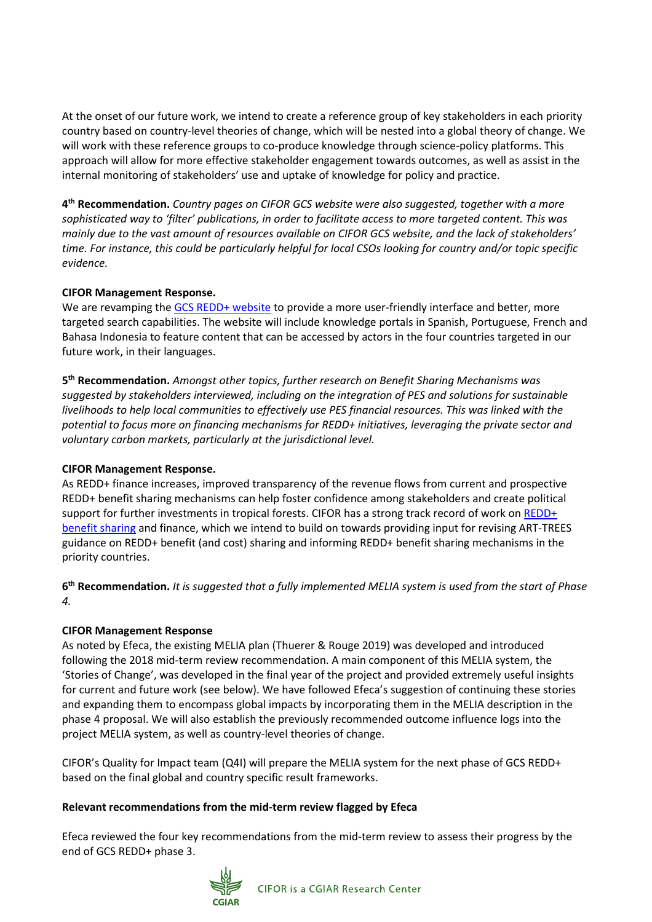At the onset of our future work, we intend to create a reference group of key stakeholders in each priority country based on country-level theories of change, which will be nested into a global theory of change. We will work with these reference groups to co-produce knowledge through science-policy platforms. This approach will allow for more effective stakeholder engagement towards outcomes, as well as assist in the internal monitoring of stakeholders' use and uptake of knowledge for policy and practice.

**4th Recommendation.** *Country pages on CIFOR GCS website were also suggested, together with a more sophisticated way to 'filter' publications, in order to facilitate access to more targeted content. This was mainly due to the vast amount of resources available on CIFOR GCS website, and the lack of stakeholders' time. For instance, this could be particularly helpful for local CSOs looking for country and/or topic specific evidence.*

#### **CIFOR Management Response.**

We are revamping the [GCS REDD+ website](https://www2.cifor.org/gcs/) to provide a more user-friendly interface and better, more targeted search capabilities. The website will include knowledge portals in Spanish, Portuguese, French and Bahasa Indonesia to feature content that can be accessed by actors in the four countries targeted in our future work, in their languages.

**5th Recommendation.** *Amongst other topics, further research on Benefit Sharing Mechanisms was suggested by stakeholders interviewed, including on the integration of PES and solutions for sustainable livelihoods to help local communities to effectively use PES financial resources. This was linked with the potential to focus more on financing mechanisms for REDD+ initiatives, leveraging the private sector and voluntary carbon markets, particularly at the jurisdictional level.*

#### **CIFOR Management Response.**

As REDD+ finance increases, improved transparency of the revenue flows from current and prospective REDD+ benefit sharing mechanisms can help foster confidence among stakeholders and create political support for further investments in tropical forests. CIFOR has a strong track record of work on REDD+ [benefit sharing](https://www2.cifor.org/redd-benefit-sharing/interactive-tool-explores-policy-options-sharing-redd-benefits/) and finance, which we intend to build on towards providing input for revising ART-TREES guidance on REDD+ benefit (and cost) sharing and informing REDD+ benefit sharing mechanisms in the priority countries.

**6th Recommendation.** *It is suggested that a fully implemented MELIA system is used from the start of Phase 4.*

## **CIFOR Management Response**

As noted by Efeca, the existing MELIA plan (Thuerer & Rouge 2019) was developed and introduced following the 2018 mid-term review recommendation. A main component of this MELIA system, the 'Stories of Change', was developed in the final year of the project and provided extremely useful insights for current and future work (see below). We have followed Efeca's suggestion of continuing these stories and expanding them to encompass global impacts by incorporating them in the MELIA description in the phase 4 proposal. We will also establish the previously recommended outcome influence logs into the project MELIA system, as well as country-level theories of change.

CIFOR's Quality for Impact team (Q4I) will prepare the MELIA system for the next phase of GCS REDD+ based on the final global and country specific result frameworks.

#### **Relevant recommendations from the mid-term review flagged by Efeca**

Efeca reviewed the four key recommendations from the mid-term review to assess their progress by the end of GCS REDD+ phase 3.

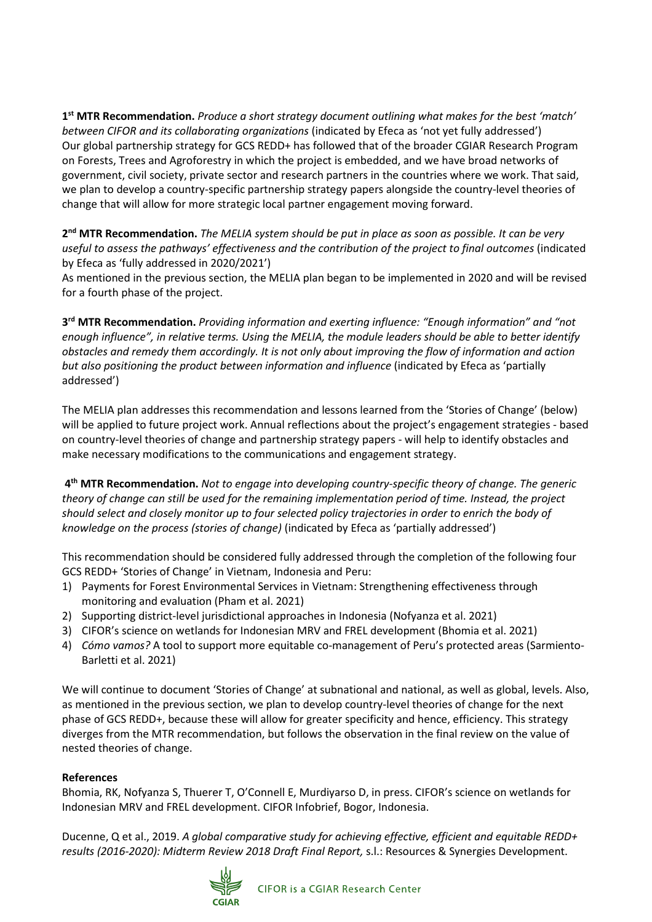**1st MTR Recommendation.** *Produce a short strategy document outlining what makes for the best 'match' between CIFOR and its collaborating organizations* (indicated by Efeca as 'not yet fully addressed') Our global partnership strategy for GCS REDD+ has followed that of the broader CGIAR Research Program on Forests, Trees and Agroforestry in which the project is embedded, and we have broad networks of government, civil society, private sector and research partners in the countries where we work. That said, we plan to develop a country-specific partnership strategy papers alongside the country-level theories of change that will allow for more strategic local partner engagement moving forward.

**2nd MTR Recommendation.** *The MELIA system should be put in place as soon as possible. It can be very useful to assess the pathways' effectiveness and the contribution of the project to final outcomes* (indicated by Efeca as 'fully addressed in 2020/2021')

As mentioned in the previous section, the MELIA plan began to be implemented in 2020 and will be revised for a fourth phase of the project.

**3rd MTR Recommendation.** *Providing information and exerting influence: "Enough information" and "not enough influence", in relative terms. Using the MELIA, the module leaders should be able to better identify obstacles and remedy them accordingly. It is not only about improving the flow of information and action but also positioning the product between information and influence* (indicated by Efeca as 'partially addressed')

The MELIA plan addresses this recommendation and lessons learned from the 'Stories of Change' (below) will be applied to future project work. Annual reflections about the project's engagement strategies - based on country-level theories of change and partnership strategy papers - will help to identify obstacles and make necessary modifications to the communications and engagement strategy.

**4th MTR Recommendation.** *Not to engage into developing country-specific theory of change. The generic theory of change can still be used for the remaining implementation period of time. Instead, the project should select and closely monitor up to four selected policy trajectories in order to enrich the body of knowledge on the process (stories of change)* (indicated by Efeca as 'partially addressed')

This recommendation should be considered fully addressed through the completion of the following four GCS REDD+ 'Stories of Change' in Vietnam, Indonesia and Peru:

- 1) Payments for Forest Environmental Services in Vietnam: Strengthening effectiveness through monitoring and evaluation (Pham et al. 2021)
- 2) Supporting district-level jurisdictional approaches in Indonesia (Nofyanza et al. 2021)
- 3) CIFOR's science on wetlands for Indonesian MRV and FREL development (Bhomia et al. 2021)
- 4) *Cómo vamos?* A tool to support more equitable co-management of Peru's protected areas (Sarmiento-Barletti et al. 2021)

We will continue to document 'Stories of Change' at subnational and national, as well as global, levels. Also, as mentioned in the previous section, we plan to develop country-level theories of change for the next phase of GCS REDD+, because these will allow for greater specificity and hence, efficiency. This strategy diverges from the MTR recommendation, but follows the observation in the final review on the value of nested theories of change.

#### **References**

Bhomia, RK, Nofyanza S, Thuerer T, O'Connell E, Murdiyarso D, in press. CIFOR's science on wetlands for Indonesian MRV and FREL development. CIFOR Infobrief, Bogor, Indonesia.

Ducenne, Q et al., 2019. *A global comparative study for achieving effective, efficient and equitable REDD+ results (2016-2020): Midterm Review 2018 Draft Final Report,* s.l.: Resources & Synergies Development.